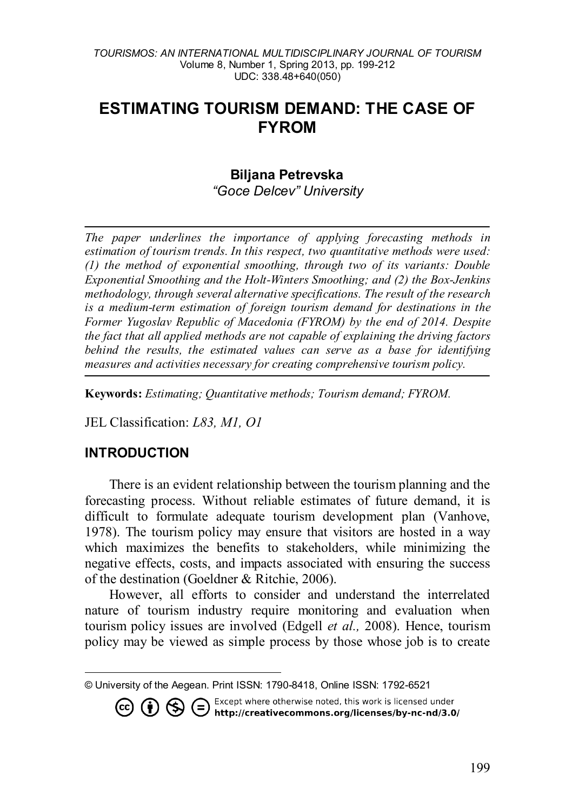#### *TOURISMOS: AN INTERNATIONAL MULTIDISCIPLINARY JOURNAL OF TOURISM* Volume 8, Number 1, Spring 2013, pp. 199-212 UDC: 338.48+640(050)

# **ESTIMATING TOURISM DEMAND: THE CASE OF FYROM**

### **Biljana Petrevska[1](#page-0-0)**

*"Goce Delcev" University*

*The paper underlines the importance of applying forecasting methods in estimation of tourism trends. In this respect, two quantitative methods were used: (1) the method of exponential smoothing, through two of its variants: Double Exponential Smoothing and the Holt-Winters Smoothing; and (2) the Box-Jenkins methodology, through several alternative specifications. The result of the research is a medium-term estimation of foreign tourism demand for destinations in the Former Yugoslav Republic of Macedonia (FYROM) by the end of 2014. Despite the fact that all applied methods are not capable of explaining the driving factors behind the results, the estimated values can serve as a base for identifying measures and activities necessary for creating comprehensive tourism policy.*

**Keywords:** *Estimating; Quantitative methods; Tourism demand; FYROM.*

JEL Classification: *L83, M1, O1*

# **INTRODUCTION**

There is an evident relationship between the tourism planning and the forecasting process. Without reliable estimates of future demand, it is difficult to formulate adequate tourism development plan (Vanhove, 1978). The tourism policy may ensure that visitors are hosted in a way which maximizes the benefits to stakeholders, while minimizing the negative effects, costs, and impacts associated with ensuring the success of the destination (Goeldner & Ritchie, 2006).

However, all efforts to consider and understand the interrelated nature of tourism industry require monitoring and evaluation when tourism policy issues are involved (Edgell *et al.,* 2008). Hence, tourism policy may be viewed as simple process by those whose job is to create

**CO CO SEXCEPT Where otherwise noted, this work is licensed under http://creativecommons.org/licenses/by-nc-nd/3.0/** 

<span id="page-0-0"></span> $\overline{a}$ © University of the Aegean. Print ISSN: 1790-8418, Online ISSN: 1792-6521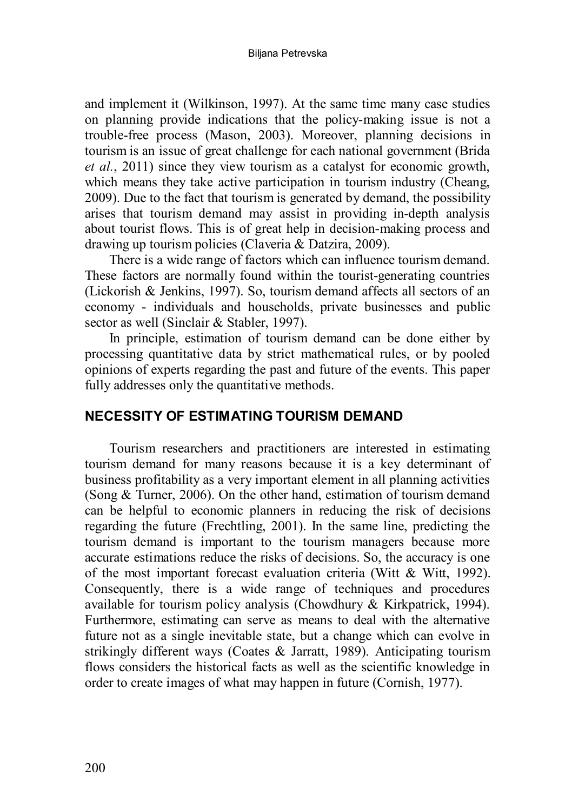and implement it (Wilkinson, 1997). At the same time many case studies on planning provide indications that the policy-making issue is not a trouble-free process (Mason, 2003). Moreover, planning decisions in tourism is an issue of great challenge for each national government (Brida *et al.*, 2011) since they view tourism as a catalyst for economic growth, which means they take active participation in tourism industry (Cheang, 2009). Due to the fact that tourism is generated by demand, the possibility arises that tourism demand may assist in providing in-depth analysis about tourist flows. This is of great help in decision-making process and drawing up tourism policies (Claveria & Datzira, 2009).

There is a wide range of factors which can influence tourism demand. These factors are normally found within the tourist-generating countries (Lickorish & Jenkins, 1997). So, tourism demand affects all sectors of an economy - individuals and households, private businesses and public sector as well (Sinclair & Stabler, 1997).

In principle, estimation of tourism demand can be done either by processing quantitative data by strict mathematical rules, or by pooled opinions of experts regarding the past and future of the events. This paper fully addresses only the quantitative methods.

### **NECESSITY OF ESTIMATING TOURISM DEMAND**

Tourism researchers and practitioners are interested in estimating tourism demand for many reasons because it is a key determinant of business profitability as a very important element in all planning activities (Song & Turner, 2006). On the other hand, estimation of tourism demand can be helpful to economic planners in reducing the risk of decisions regarding the future (Frechtling, 2001). In the same line, predicting the tourism demand is important to the tourism managers because more accurate estimations reduce the risks of decisions. So, the accuracy is one of the most important forecast evaluation criteria (Witt & Witt, 1992). Consequently, there is a wide range of techniques and procedures available for tourism policy analysis (Chowdhury & Kirkpatrick, 1994). Furthermore, estimating can serve as means to deal with the alternative future not as a single inevitable state, but a change which can evolve in strikingly different ways (Coates & Jarratt, 1989). Anticipating tourism flows considers the historical facts as well as the scientific knowledge in order to create images of what may happen in future (Cornish, 1977).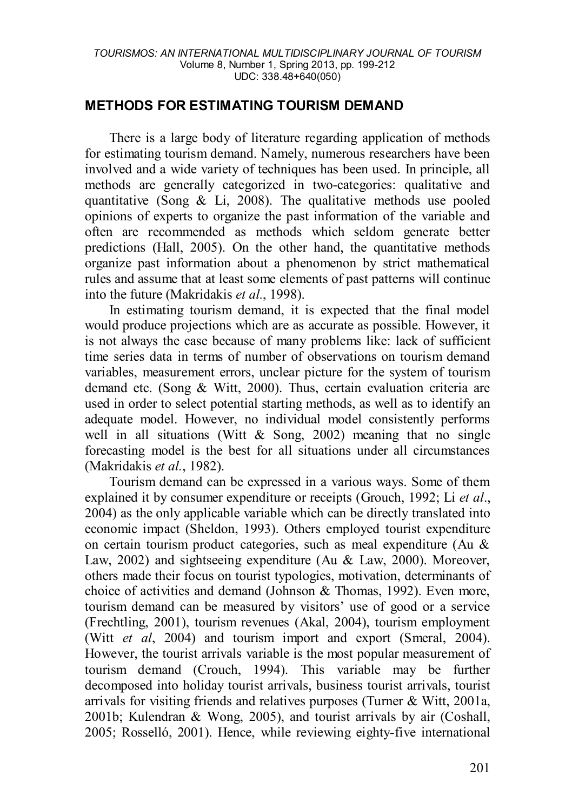### **METHODS FOR ESTIMATING TOURISM DEMAND**

There is a large body of literature regarding application of methods for estimating tourism demand. Namely, numerous researchers have been involved and a wide variety of techniques has been used. In principle, all methods are generally categorized in two-categories: qualitative and quantitative (Song  $\&$  Li, 2008). The qualitative methods use pooled opinions of experts to organize the past information of the variable and often are recommended as methods which seldom generate better predictions (Hall, 2005). On the other hand, the quantitative methods organize past information about a phenomenon by strict mathematical rules and assume that at least some elements of past patterns will continue into the future (Makridakis *et al.*, 1998).

In estimating tourism demand, it is expected that the final model would produce projections which are as accurate as possible. However, it is not always the case because of many problems like: lack of sufficient time series data in terms of number of observations on tourism demand variables, measurement errors, unclear picture for the system of tourism demand etc. (Song & Witt, 2000). Thus, certain evaluation criteria are used in order to select potential starting methods, as well as to identify an adequate model. However, no individual model consistently performs well in all situations (Witt  $\&$  Song, 2002) meaning that no single forecasting model is the best for all situations under all circumstances (Makridakis *et al.*, 1982).

Tourism demand can be expressed in a various ways. Some of them explained it by consumer expenditure or receipts (Grouch, 1992; Li *et al*., 2004) as the only applicable variable which can be directly translated into economic impact (Sheldon, 1993). Others employed tourist expenditure on certain tourism product categories, such as meal expenditure (Au & Law, 2002) and sightseeing expenditure (Au & Law, 2000). Moreover, others made their focus on tourist typologies, motivation, determinants of choice of activities and demand (Johnson & Thomas, 1992). Even more, tourism demand can be measured by visitors' use of good or a service (Frechtling, 2001), tourism revenues (Akal, 2004), tourism employment (Witt *et al*, 2004) and tourism import and export (Smeral, 2004). However, the tourist arrivals variable is the most popular measurement of tourism demand (Crouch, 1994). This variable may be further decomposed into holiday tourist arrivals, business tourist arrivals, tourist arrivals for visiting friends and relatives purposes (Turner  $\&$  Witt, 2001a, 2001b; Kulendran & Wong, 2005), and tourist arrivals by air (Coshall, 2005; Rosselló, 2001). Hence, while reviewing eighty-five international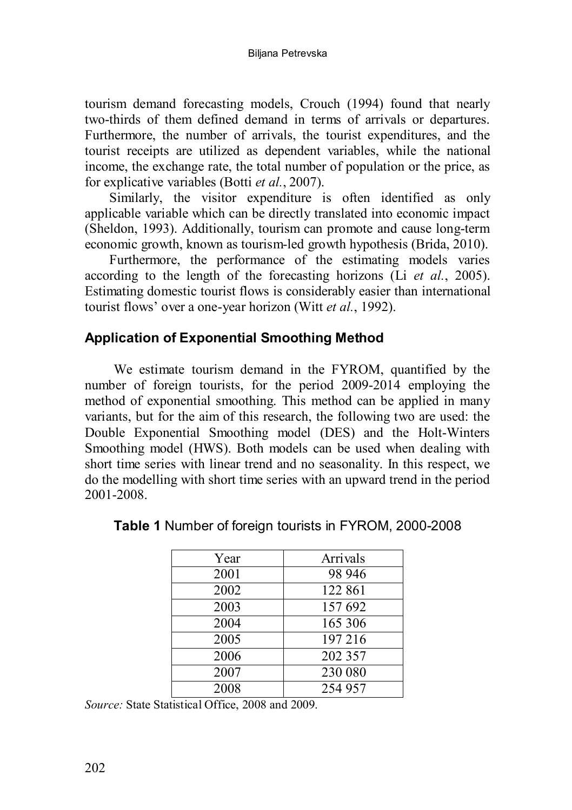tourism demand forecasting models, Crouch (1994) found that nearly two-thirds of them defined demand in terms of arrivals or departures. Furthermore, the number of arrivals, the tourist expenditures, and the tourist receipts are utilized as dependent variables, while the national income, the exchange rate, the total number of population or the price, as for explicative variables (Botti *et al.*, 2007).

Similarly, the visitor expenditure is often identified as only applicable variable which can be directly translated into economic impact (Sheldon, 1993). Additionally, tourism can promote and cause long-term economic growth, known as tourism-led growth hypothesis (Brida, 2010).

Furthermore, the performance of the estimating models varies according to the length of the forecasting horizons (Li *et al.*, 2005). Estimating domestic tourist flows is considerably easier than international tourist flows' over a one-year horizon (Witt *et al.*, 1992).

# **Application of Exponential Smoothing Method**

We estimate tourism demand in the FYROM, quantified by the number of foreign tourists, for the period 2009-2014 employing the method of exponential smoothing. This method can be applied in many variants, but for the aim of this research, the following two are used: the Double Exponential Smoothing model (DES) and the Holt-Winters Smoothing model (HWS). Both models can be used when dealing with short time series with linear trend and no seasonality. In this respect, we do the modelling with short time series with an upward trend in the period 2001-2008.

| Year | Arrivals |
|------|----------|
| 2001 | 98 946   |
| 2002 | 122 861  |
| 2003 | 157 692  |
| 2004 | 165 306  |
| 2005 | 197 216  |
| 2006 | 202 357  |
| 2007 | 230 080  |
| 2008 | 254 957  |

**Table 1** Number of foreign tourists in FYROM, 2000-2008

*Source:* State Statistical Office, 2008 and 2009.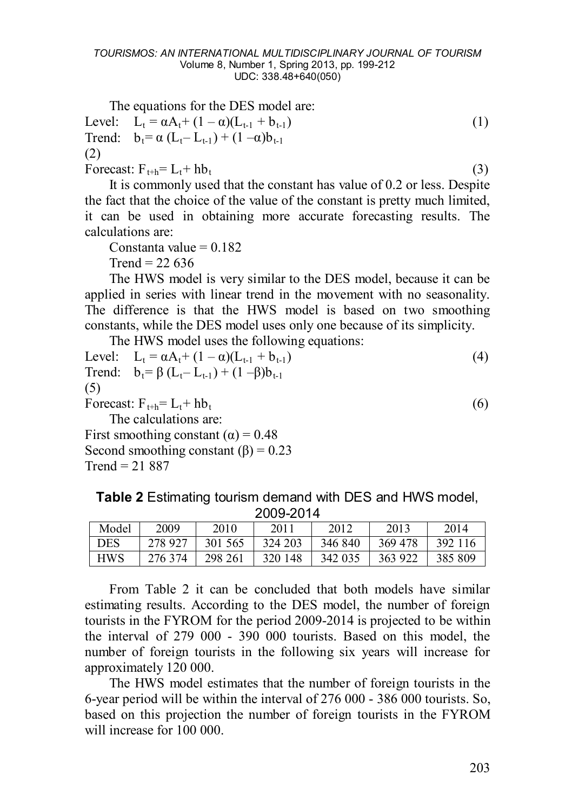The equations for the DES model are:

Level:  $L_t = \alpha A_t + (1 - \alpha)(L_{t-1} + b_{t-1})$  (1) Trend:  $b_t = \alpha (L_t - L_{t-1}) + (1 - \alpha) b_{t-1}$ (2) Forecast:  $F_{t+h} = L_t + hb_t$  (3)

It is commonly used that the constant has value of 0.2 or less. Despite the fact that the choice of the value of the constant is pretty much limited, it can be used in obtaining more accurate forecasting results. The calculations are:

Constanta value  $= 0.182$ 

 $Trend = 22,636$ 

The HWS model is very similar to the DES model, because it can be applied in series with linear trend in the movement with no seasonality. The difference is that the HWS model is based on two smoothing constants, while the DES model uses only one because of its simplicity.

The HWS model uses the following equations:

Level:  $L_t = \alpha A_t + (1 - \alpha)(L_{t-1} + b_{t-1})$  (4) Trend:  $b_t = \beta (L_t - L_{t-1}) + (1 - \beta)b_{t-1}$ (5) Forecast:  $F_{t+h} = L_t + hb_t$  (6) The calculations are: First smoothing constant  $(\alpha) = 0.48$ Second smoothing constant  $(\beta) = 0.23$  $Trend = 21,887$ 

**Table 2** Estimating tourism demand with DES and HWS model, 2009-2014

| 20002017   |         |         |         |         |         |         |
|------------|---------|---------|---------|---------|---------|---------|
| Model      | 2009    | 2010    | 2011    | 2012    | 2013    | 2014    |
| <b>DES</b> | 278 927 | 301 565 | 324 203 | 346 840 | 369 478 | 392 116 |
| <b>HWS</b> | 276 374 | 298 261 | 320 148 | 342 035 | 363 922 | 385 809 |

From Table 2 it can be concluded that both models have similar estimating results. According to the DES model, the number of foreign tourists in the FYROM for the period 2009-2014 is projected to be within the interval of 279 000 - 390 000 tourists. Based on this model, the number of foreign tourists in the following six years will increase for approximately 120 000.

The HWS model estimates that the number of foreign tourists in the 6-year period will be within the interval of 276 000 - 386 000 tourists. So, based on this projection the number of foreign tourists in the FYROM will increase for 100 000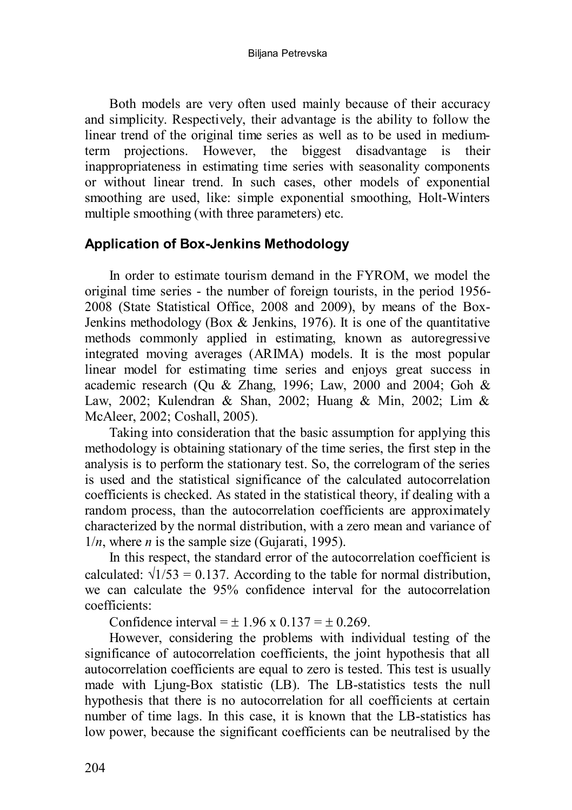Both models are very often used mainly because of their accuracy and simplicity. Respectively, their advantage is the ability to follow the linear trend of the original time series as well as to be used in mediumterm projections. However, the biggest disadvantage is their inappropriateness in estimating time series with seasonality components or without linear trend. In such cases, other models of exponential smoothing are used, like: simple exponential smoothing, Holt-Winters multiple smoothing (with three parameters) etc.

### **Application of Box-Jenkins Methodology**

In order to estimate tourism demand in the FYROM, we model the original time series - the number of foreign tourists, in the period 1956- 2008 (State Statistical Office, 2008 and 2009), by means of the Box-Jenkins methodology (Box & Jenkins, 1976). It is one of the quantitative methods commonly applied in estimating, known as autoregressive integrated moving averages (ARIMA) models. It is the most popular linear model for estimating time series and enjoys great success in academic research (Qu & Zhang, 1996; Law, 2000 and 2004; Goh & Law, 2002; Kulendran & Shan, 2002; Huang & Min, 2002; Lim & McAleer, 2002; Coshall, 2005).

Taking into consideration that the basic assumption for applying this methodology is obtaining stationary of the time series, the first step in the analysis is to perform the stationary test. So, the correlogram of the series is used and the statistical significance of the calculated autocorrelation coefficients is checked. As stated in the statistical theory, if dealing with a random process, than the autocorrelation coefficients are approximately characterized by the normal distribution, with a zero mean and variance of  $1/n$ , where *n* is the sample size (Gujarati, 1995).

In this respect, the standard error of the autocorrelation coefficient is calculated:  $\sqrt{1/53} = 0.137$  According to the table for normal distribution we can calculate the 95% confidence interval for the autocorrelation coefficients:

Confidence interval =  $\pm$  1.96 x 0.137 =  $\pm$  0.269.

However, considering the problems with individual testing of the significance of autocorrelation coefficients, the joint hypothesis that all autocorrelation coefficients are equal to zero is tested. This test is usually made with Ljung-Box statistic (LB). The LB-statistics tests the null hypothesis that there is no autocorrelation for all coefficients at certain number of time lags. In this case, it is known that the LB-statistics has low power, because the significant coefficients can be neutralised by the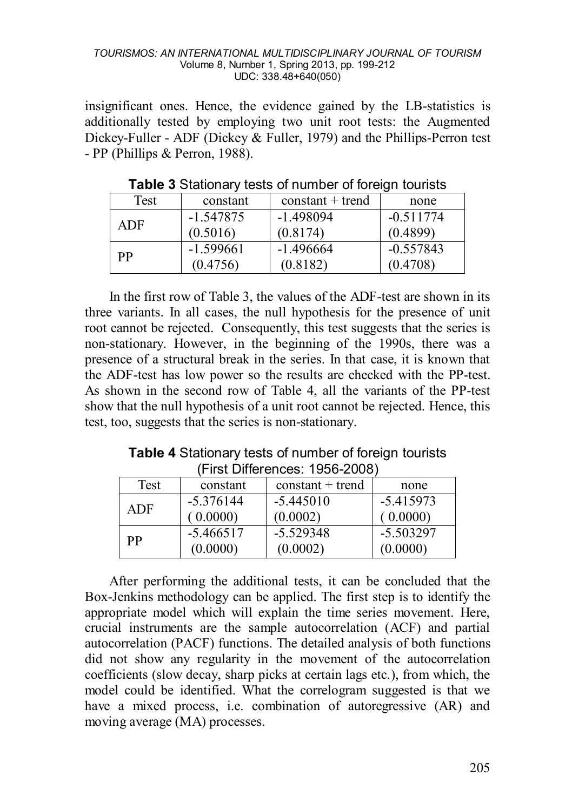#### *TOURISMOS: AN INTERNATIONAL MULTIDISCIPLINARY JOURNAL OF TOURISM* Volume 8, Number 1, Spring 2013, pp. 199-212 UDC: 338.48+640(050)

insignificant ones. Hence, the evidence gained by the LB-statistics is additionally tested by employing two unit root tests: the Augmented Dickey-Fuller - ADF (Dickey & Fuller, 1979) and the Phillips-Perron test - PP (Phillips & Perron, 1988).

| Test | constant    | $constant + trend$ | none        |
|------|-------------|--------------------|-------------|
| ADF  | -1.547875   | -1.498094          | $-0.511774$ |
|      | (0.5016)    | (0.8174)           | (0.4899)    |
| РP   | $-1.599661$ | -1.496664          | $-0.557843$ |
|      | (0.4756)    | (0.8182)           | (0.4708)    |

**Table 3** Stationary tests of number of foreign tourists

In the first row of Table 3, the values of the ADF-test are shown in its three variants. In all cases, the null hypothesis for the presence of unit root cannot be rejected. Consequently, this test suggests that the series is non-stationary. However, in the beginning of the 1990s, there was a presence of a structural break in the series. In that case, it is known that the ADF-test has low power so the results are checked with the PP-test. As shown in the second row of Table 4, all the variants of the PP-test show that the null hypothesis of a unit root cannot be rejected. Hence, this test, too, suggests that the series is non-stationary.

| Table 4 Stationary tests of number of foreign tourists |  |
|--------------------------------------------------------|--|
| (First Differences: 1956-2008)                         |  |

| Test | constant    | $constant + trend$ | none        |
|------|-------------|--------------------|-------------|
| ADF  | $-5.376144$ | $-5.445010$        | $-5.415973$ |
|      | 0.0000      | (0.0002)           | (0.0000)    |
| РP   | $-5.466517$ | $-5.529348$        | $-5.503297$ |
|      | (0.0000)    | (0.0002)           | (0.0000)    |

After performing the additional tests, it can be concluded that the Box-Jenkins methodology can be applied. The first step is to identify the appropriate model which will explain the time series movement. Here, crucial instruments are the sample autocorrelation (ACF) and partial autocorrelation (PACF) functions. The detailed analysis of both functions did not show any regularity in the movement of the autocorrelation coefficients (slow decay, sharp picks at certain lags etc.), from which, the model could be identified. What the correlogram suggested is that we have a mixed process, i.e. combination of autoregressive (AR) and moving average (MA) processes.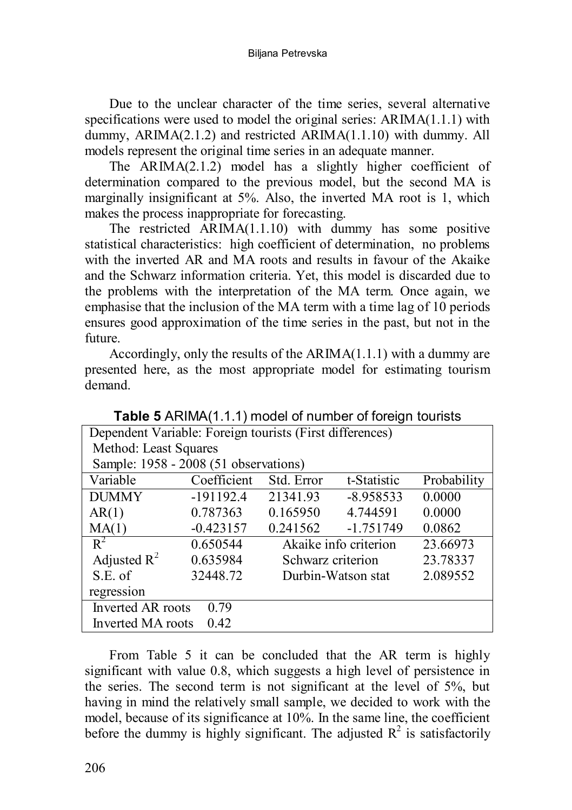#### Biljana Petrevska

Due to the unclear character of the time series, several alternative specifications were used to model the original series: ARIMA(1.1.1) with dummy, ARIMA(2.1.2) and restricted ARIMA(1.1.10) with dummy. All models represent the original time series in an adequate manner.

The ARIMA(2.1.2) model has a slightly higher coefficient of determination compared to the previous model, but the second MA is marginally insignificant at 5%. Also, the inverted MA root is 1, which makes the process inappropriate for forecasting.

The restricted ARIMA(1.1.10) with dummy has some positive statistical characteristics: high coefficient of determination, no problems with the inverted AR and MA roots and results in favour of the Akaike and the Schwarz information criteria. Yet, this model is discarded due to the problems with the interpretation of the MA term. Once again, we emphasise that the inclusion of the MA term with a time lag of 10 periods ensures good approximation of the time series in the past, but not in the future.

Accordingly, only the results of the ARIMA(1.1.1) with a dummy are presented here, as the most appropriate model for estimating tourism demand.

| Dependent Variable: Foreign tourists (First differences) |             |                   |                       |             |  |  |  |
|----------------------------------------------------------|-------------|-------------------|-----------------------|-------------|--|--|--|
| Method: Least Squares                                    |             |                   |                       |             |  |  |  |
| Sample: 1958 - 2008 (51 observations)                    |             |                   |                       |             |  |  |  |
| Variable                                                 | Coefficient | Std. Error        | t-Statistic           | Probability |  |  |  |
| <b>DUMMY</b>                                             | $-191192.4$ | 21341.93          | $-8.958533$           | 0.0000      |  |  |  |
| AR(1)                                                    | 0.787363    | 0.165950          | 4.744591              | 0.0000      |  |  |  |
| MA(1)                                                    | $-0.423157$ | 0.241562          | $-1.751749$           | 0.0862      |  |  |  |
| $R^2$                                                    | 0.650544    |                   | Akaike info criterion | 23.66973    |  |  |  |
| Adjusted $R^2$                                           | 0.635984    | Schwarz criterion |                       | 23.78337    |  |  |  |
| S.E. of                                                  | 32448.72    |                   | Durbin-Watson stat    | 2.089552    |  |  |  |
| regression                                               |             |                   |                       |             |  |  |  |
| Inverted AR roots<br>0.79                                |             |                   |                       |             |  |  |  |
| 0.42<br>Inverted MA roots                                |             |                   |                       |             |  |  |  |

**Table 5** ARIMA(1.1.1) model of number of foreign tourists

From Table 5 it can be concluded that the AR term is highly significant with value 0.8, which suggests a high level of persistence in the series. The second term is not significant at the level of 5%, but having in mind the relatively small sample, we decided to work with the model, because of its significance at 10%. In the same line, the coefficient before the dummy is highly significant. The adjusted  $R^2$  is satisfactorily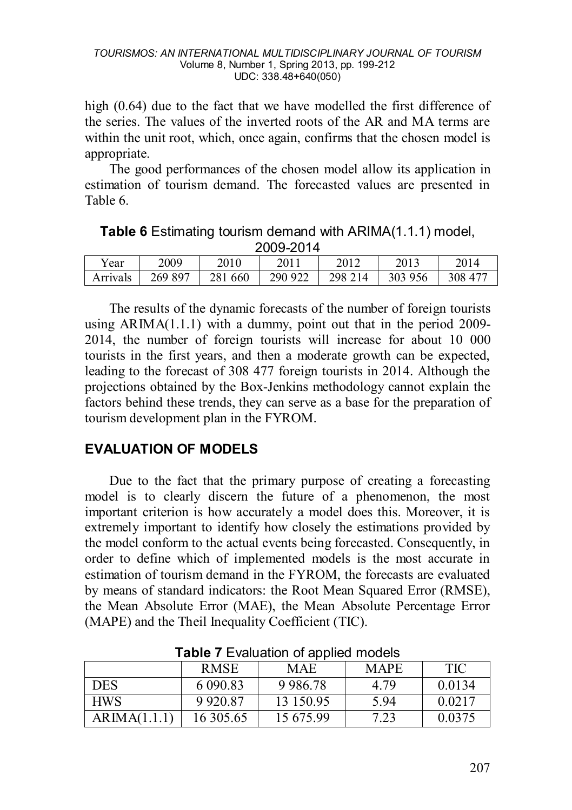high (0.64) due to the fact that we have modelled the first difference of the series. The values of the inverted roots of the AR and MA terms are within the unit root, which, once again, confirms that the chosen model is appropriate.

The good performances of the chosen model allow its application in estimation of tourism demand. The forecasted values are presented in Table 6.

**Table 6** Estimating tourism demand with ARIMA(1.1.1) model, 2009-2014

| Year     | 2009    | 2010    | 2011    | 2012    | 2013    |         |
|----------|---------|---------|---------|---------|---------|---------|
| Arrivals | 269 897 | 281 660 | 290 922 | 298 214 | 303 956 | 308 477 |

The results of the dynamic forecasts of the number of foreign tourists using  $ARIMA(1.1.1)$  with a dummy, point out that in the period 2009-2014, the number of foreign tourists will increase for about 10 000 tourists in the first years, and then a moderate growth can be expected, leading to the forecast of 308 477 foreign tourists in 2014. Although the projections obtained by the Box-Jenkins methodology cannot explain the factors behind these trends, they can serve as a base for the preparation of tourism development plan in the FYROM.

# **EVALUATION OF MODELS**

Due to the fact that the primary purpose of creating a forecasting model is to clearly discern the future of a phenomenon, the most important criterion is how accurately a model does this. Moreover, it is extremely important to identify how closely the estimations provided by the model conform to the actual events being forecasted. Consequently, in order to define which of implemented models is the most accurate in estimation of tourism demand in the FYROM, the forecasts are evaluated by means of standard indicators: the Root Mean Squared Error (RMSE), the Mean Absolute Error (MAE), the Mean Absolute Percentage Error (MAPE) and the Theil Inequality Coefficient (TIC).

|              | <b>RMSE</b> | <b>MAE</b> | <b>MAPE</b> | <b>TIC</b> |  |  |
|--------------|-------------|------------|-------------|------------|--|--|
| <b>DES</b>   | 6 090.83    | 9 9 8 6.78 | 4.79        | 0.0134     |  |  |
| <b>HWS</b>   | 9 9 20 8 7  | 13 150.95  | 5.94        | 0.0217     |  |  |
| ARIMA(1.1.1) | 16 305.65   | 15 675.99  | 7.23        | 0.0375     |  |  |

**Table 7** Evaluation of applied models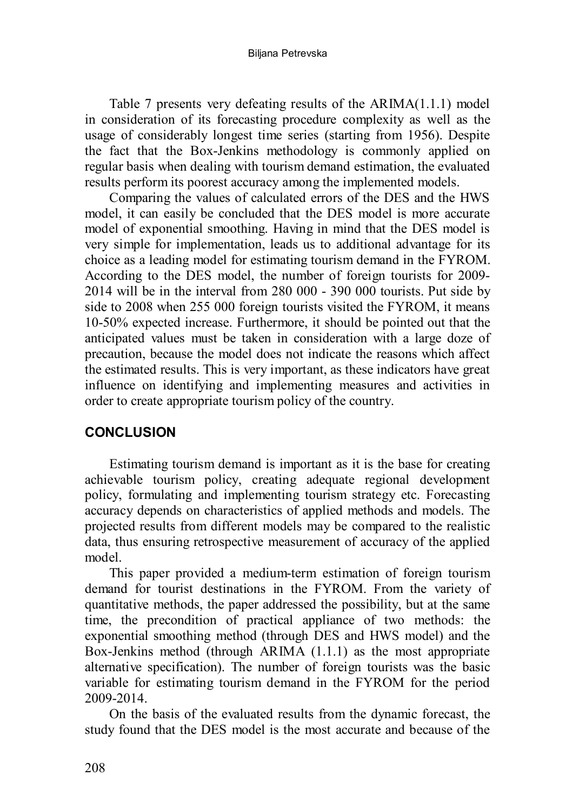#### Biljana Petrevska

Table 7 presents very defeating results of the ARIMA(1.1.1) model in consideration of its forecasting procedure complexity as well as the usage of considerably longest time series (starting from 1956). Despite the fact that the Box-Jenkins methodology is commonly applied on regular basis when dealing with tourism demand estimation, the evaluated results perform its poorest accuracy among the implemented models.

Comparing the values of calculated errors of the DES and the HWS model, it can easily be concluded that the DES model is more accurate model of exponential smoothing. Having in mind that the DES model is very simple for implementation, leads us to additional advantage for its choice as a leading model for estimating tourism demand in the FYROM. According to the DES model, the number of foreign tourists for 2009- 2014 will be in the interval from 280 000 - 390 000 tourists. Put side by side to 2008 when 255 000 foreign tourists visited the FYROM, it means 10-50% expected increase. Furthermore, it should be pointed out that the anticipated values must be taken in consideration with a large doze of precaution, because the model does not indicate the reasons which affect the estimated results. This is very important, as these indicators have great influence on identifying and implementing measures and activities in order to create appropriate tourism policy of the country.

### **CONCLUSION**

Estimating tourism demand is important as it is the base for creating achievable tourism policy, creating adequate regional development policy, formulating and implementing tourism strategy etc. Forecasting accuracy depends on characteristics of applied methods and models. The projected results from different models may be compared to the realistic data, thus ensuring retrospective measurement of accuracy of the applied model.

This paper provided a medium-term estimation of foreign tourism demand for tourist destinations in the FYROM. From the variety of quantitative methods, the paper addressed the possibility, but at the same time, the precondition of practical appliance of two methods: the exponential smoothing method (through DES and HWS model) and the Box-Jenkins method (through ARIMA (1.1.1) as the most appropriate alternative specification). The number of foreign tourists was the basic variable for estimating tourism demand in the FYROM for the period 2009-2014.

On the basis of the evaluated results from the dynamic forecast, the study found that the DES model is the most accurate and because of the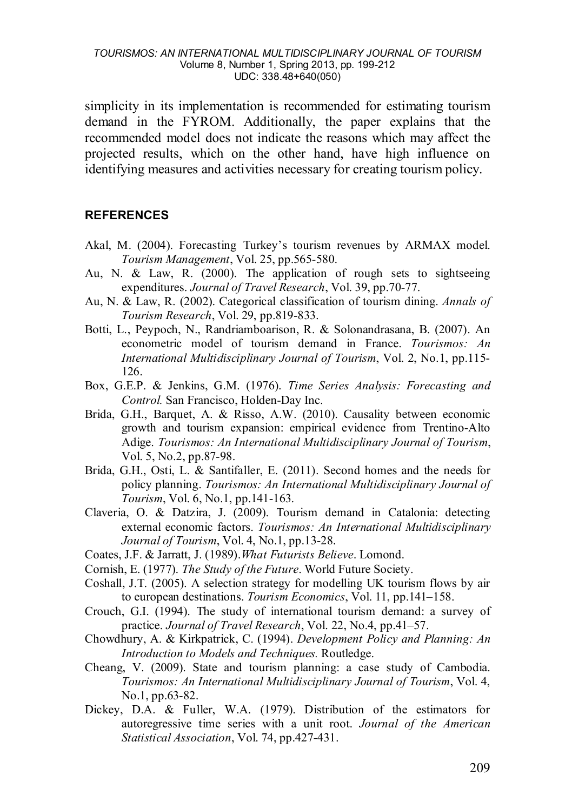simplicity in its implementation is recommended for estimating tourism demand in the FYROM. Additionally, the paper explains that the recommended model does not indicate the reasons which may affect the projected results, which on the other hand, have high influence on identifying measures and activities necessary for creating tourism policy.

### **REFERENCES**

- Akal, M. (2004). Forecasting Turkey's tourism revenues by ARMAX model. *Tourism Management*, Vol. 25, pp.565-580.
- Au, N. & Law, R. (2000). The application of rough sets to sightseeing expenditures. *Journal of Travel Research*, Vol. 39, pp.70-77.
- Au, N. & Law, R. (2002). Categorical classification of tourism dining. *Annals of Tourism Research*, Vol. 29, pp.819-833.
- Botti, L., Peypoch, N., Randriamboarison, R. & Solonandrasana, B. (2007). An econometric model of tourism demand in France. *Tourismos: An International Multidisciplinary Journal of Tourism*, Vol. 2, No.1, pp.115- 126.
- Box, G.E.P. & Jenkins, G.M. (1976). *Time Series Analysis: Forecasting and Control.* San Francisco, Holden-Day Inc.
- Brida, G.H., Barquet, A. & Risso, A.W. (2010). Causality between economic growth and tourism expansion: empirical evidence from Trentino-Alto Adige. *Tourismos: An International Multidisciplinary Journal of Tourism*, Vol. 5, No.2, pp.87-98.
- Brida, G.H., Osti, L. & Santifaller, E. (2011). Second homes and the needs for policy planning. *Tourismos: An International Multidisciplinary Journal of Tourism*, Vol. 6, No.1, pp.141-163.
- Claveria, O. & Datzira, J. (2009). Tourism demand in Catalonia: detecting external economic factors. *Tourismos: An International Multidisciplinary Journal of Tourism*, Vol. 4, No.1, pp.13-28.
- Coates, J.F. & Jarratt, J. (1989).*What Futurists Believe*. Lomond.
- Cornish, E. (1977). *The Study of the Future*. World Future Society.
- Coshall, J.T. (2005). A selection strategy for modelling UK tourism flows by air to european destinations. *Tourism Economics*, Vol. 11, pp.141–158.
- Crouch, G.I. (1994). The study of international tourism demand: a survey of practice. *Journal of Travel Research*, Vol. 22, No.4, pp.41–57.
- Chowdhury, A. & Kirkpatrick, C. (1994). *Development Policy and Planning: An Introduction to Models and Techniques.* Routledge.
- Cheang, V. (2009). State and tourism planning: a case study of Cambodia. *Tourismos: An International Multidisciplinary Journal of Tourism*, Vol. 4, No.1, pp.63-82.
- Dickey, D.A. & Fuller, W.A. (1979). Distribution of the estimators for autoregressive time series with a unit root. *Journal of the American Statistical Association*, Vol. 74, pp.427-431.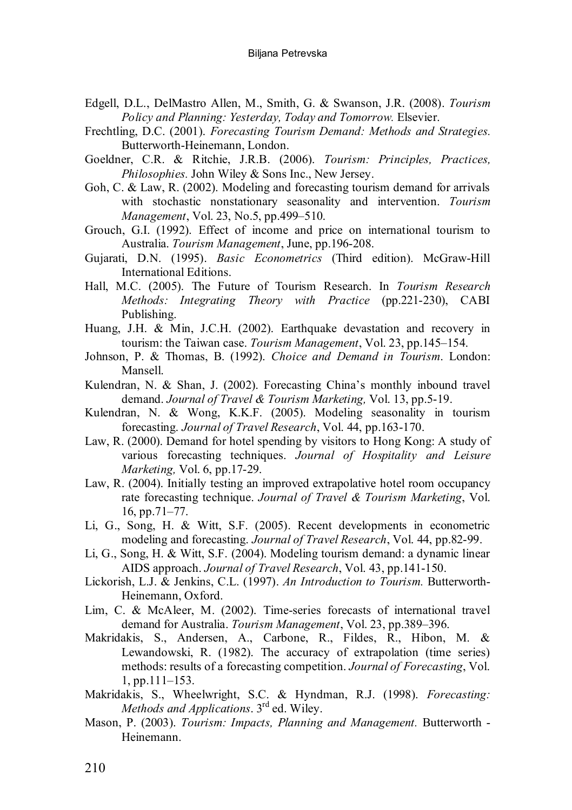- Edgell, D.L., DelMastro Allen, M., Smith, G. & Swanson, J.R. (2008). *Tourism Policy and Planning: Yesterday, Today and Tomorrow.* Elsevier.
- Frechtling, D.C. (2001). *Forecasting Tourism Demand: Methods and Strategies.* Butterworth-Heinemann, London.
- Goeldner, C.R. & Ritchie, J.R.B. (2006). *Tourism: Principles, Practices, Philosophies.* John Wiley & Sons Inc., New Jersey.
- Goh, C. & Law, R. (2002). Modeling and forecasting tourism demand for arrivals with stochastic nonstationary seasonality and intervention. *Tourism Management*, Vol. 23, No.5, pp.499–510.
- Grouch, G.I. (1992). Effect of income and price on international tourism to Australia. *Tourism Management*, June, pp.196-208.
- Gujarati, D.N. (1995). *Basic Econometrics* (Third edition). McGraw-Hill International Editions.
- Hall, M.C. (2005). The Future of Tourism Research. In *Tourism Research Methods: Integrating Theory with Practice* (pp.221-230), CABI Publishing.
- Huang, J.H. & Min, J.C.H. (2002). Earthquake devastation and recovery in tourism: the Taiwan case. *Tourism Management*, Vol. 23, pp.145–154.
- Johnson, P. & Thomas, B. (1992). *Choice and Demand in Tourism*. London: Mansell.
- Kulendran, N. & Shan, J. (2002). Forecasting China's monthly inbound travel demand. *Journal of Travel & Tourism Marketing,* Vol. 13, pp.5-19.
- Kulendran, N. & Wong, K.K.F. (2005). Modeling seasonality in tourism forecasting. *Journal of Travel Research*, Vol. 44, pp.163-170.
- Law, R. (2000). Demand for hotel spending by visitors to Hong Kong: A study of various forecasting techniques. *Journal of Hospitality and Leisure Marketing,* Vol. 6, pp.17-29.
- Law, R. (2004). Initially testing an improved extrapolative hotel room occupancy rate forecasting technique. *Journal of Travel & Tourism Marketing*, Vol. 16, pp.71–77.
- Li, G., Song, H. & Witt, S.F. (2005). Recent developments in econometric modeling and forecasting. *Journal of Travel Research*, Vol. 44, pp.82-99.
- Li, G., Song, H. & Witt, S.F. (2004). Modeling tourism demand: a dynamic linear AIDS approach. *Journal of Travel Research*, Vol. 43, pp.141-150.
- Lickorish, L.J. & Jenkins, C.L. (1997). *An Introduction to Tourism.* Butterworth-Heinemann, Oxford.
- Lim, C. & McAleer, M. (2002). Time-series forecasts of international travel demand for Australia. *Tourism Management*, Vol. 23, pp.389–396.
- Makridakis, S., Andersen, A., Carbone, R., Fildes, R., Hibon, M. & Lewandowski, R. (1982). The accuracy of extrapolation (time series) methods: results of a forecasting competition. *Journal of Forecasting*, Vol. 1, pp.111–153.
- Makridakis, S., Wheelwright, S.C. & Hyndman, R.J. (1998). *Forecasting: Methods and Applications*. 3rd ed. Wiley.
- Mason, P. (2003). *Tourism: Impacts, Planning and Management.* Butterworth Heinemann.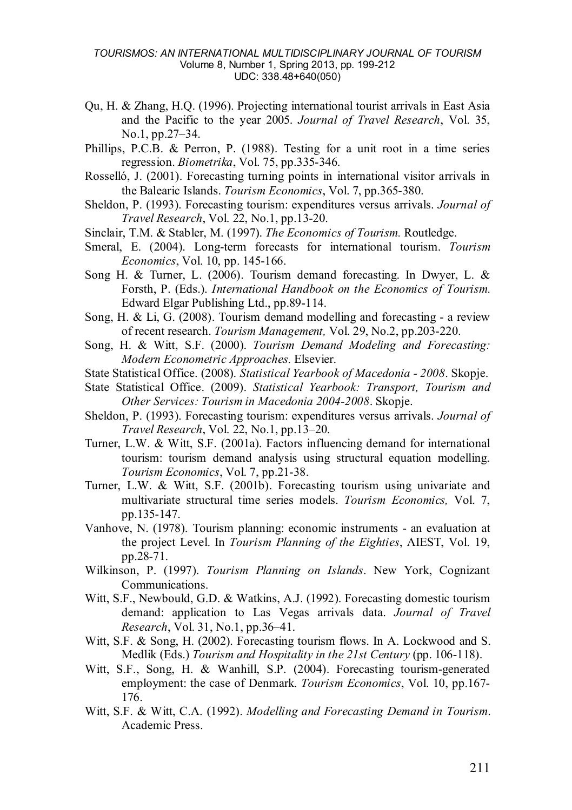#### *TOURISMOS: AN INTERNATIONAL MULTIDISCIPLINARY JOURNAL OF TOURISM* Volume 8, Number 1, Spring 2013, pp. 199-212 UDC: 338.48+640(050)

- Qu, H. & Zhang, H.Q. (1996). Projecting international tourist arrivals in East Asia and the Pacific to the year 2005. *Journal of Travel Research*, Vol. 35, No.1, pp.27–34.
- Phillips, P.C.B. & Perron, P. (1988). Testing for a unit root in a time series regression. *Biometrika*, Vol. 75, pp.335-346.
- Rosselló, J. (2001). Forecasting turning points in international visitor arrivals in the Balearic Islands. *Tourism Economics*, Vol. 7, pp.365-380.
- Sheldon, P. (1993). Forecasting tourism: expenditures versus arrivals. *Journal of Travel Research*, Vol. 22, No.1, pp.13-20.
- Sinclair, T.M. & Stabler, M. (1997). *The Economics of Tourism.* Routledge.
- Smeral, E. (2004). Long-term forecasts for international tourism. *Tourism Economics*, Vol. 10, pp. 145-166.
- Song H. & Turner, L.  $(2006)$ . Tourism demand forecasting. In Dwyer, L. & Forsth, P. (Eds.). *International Handbook on the Economics of Tourism.* Edward Elgar Publishing Ltd., pp.89-114.
- Song, H. & Li, G. (2008). Tourism demand modelling and forecasting a review of recent research. *Tourism Management,* Vol. 29, No.2, pp.203-220.
- Song, H. & Witt, S.F. (2000). *Tourism Demand Modeling and Forecasting: Modern Econometric Approaches.* Elsevier.
- State Statistical Office. (2008). *Statistical Yearbook of Macedonia - 2008*. Skopje.
- State Statistical Office. (2009). *Statistical Yearbook: Transport, Tourism and Other Services: Tourism in Macedonia 2004-2008*. Skopje.
- Sheldon, P. (1993). Forecasting tourism: expenditures versus arrivals. *Journal of Travel Research*, Vol. 22, No.1, pp.13–20.
- Turner, L.W. & Witt, S.F. (2001a). Factors influencing demand for international tourism: tourism demand analysis using structural equation modelling. *Tourism Economics*, Vol. 7, pp.21-38.
- Turner, L.W. & Witt, S.F. (2001b). Forecasting tourism using univariate and multivariate structural time series models. *Tourism Economics,* Vol. 7, pp.135-147.
- Vanhove, N. (1978). Tourism planning: economic instruments an evaluation at the project Level. In *Tourism Planning of the Eighties*, AIEST, Vol. 19, pp.28-71.
- Wilkinson, P. (1997). *Tourism Planning on Islands*. New York, Cognizant Communications.
- Witt, S.F., Newbould, G.D. & Watkins, A.J. (1992). Forecasting domestic tourism demand: application to Las Vegas arrivals data. *Journal of Travel Research*, Vol. 31, No.1, pp.36–41.
- Witt, S.F. & Song, H. (2002). Forecasting tourism flows. In A. Lockwood and S. Medlik (Eds.) *Tourism and Hospitality in the 21st Century* (pp. 106-118).
- Witt, S.F., Song, H. & Wanhill, S.P. (2004). Forecasting tourism-generated employment: the case of Denmark. *Tourism Economics*, Vol. 10, pp.167- 176.
- Witt, S.F. & Witt, C.A. (1992). *Modelling and Forecasting Demand in Tourism*. Academic Press.